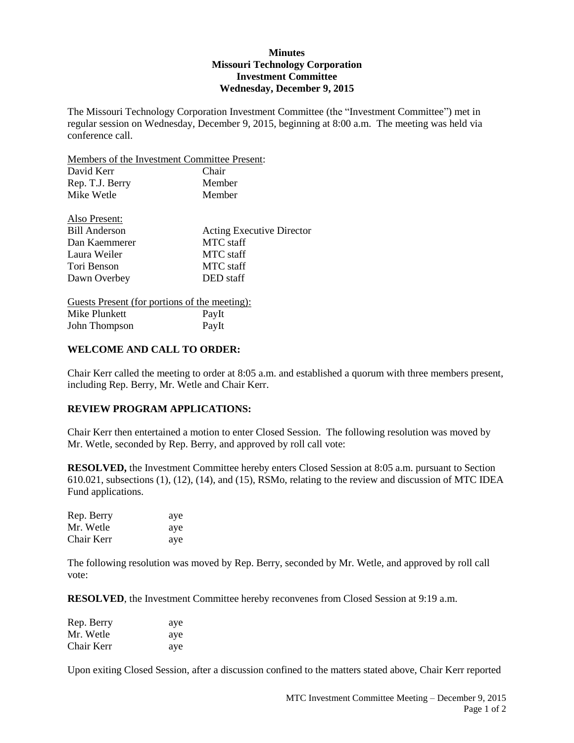# **Minutes Missouri Technology Corporation Investment Committee Wednesday, December 9, 2015**

The Missouri Technology Corporation Investment Committee (the "Investment Committee") met in regular session on Wednesday, December 9, 2015, beginning at 8:00 a.m. The meeting was held via conference call.

Members of the Investment Committee Present:

| David Kerr                                    | Chair                            |
|-----------------------------------------------|----------------------------------|
| Rep. T.J. Berry                               | Member                           |
| Mike Wetle                                    | Member                           |
| Also Present:                                 |                                  |
| <b>Bill Anderson</b>                          | <b>Acting Executive Director</b> |
| Dan Kaemmerer                                 | MTC staff                        |
| Laura Weiler                                  | MTC staff                        |
| Tori Benson                                   | MTC staff                        |
| Dawn Overbey                                  | DED staff                        |
| Guesta Present (for portions of the meeting): |                                  |

Guests Present (for portions of the meeting): Mike Plunkett PayIt John Thompson PayIt

### **WELCOME AND CALL TO ORDER:**

Chair Kerr called the meeting to order at 8:05 a.m. and established a quorum with three members present, including Rep. Berry, Mr. Wetle and Chair Kerr.

## **REVIEW PROGRAM APPLICATIONS:**

Chair Kerr then entertained a motion to enter Closed Session. The following resolution was moved by Mr. Wetle, seconded by Rep. Berry, and approved by roll call vote:

**RESOLVED,** the Investment Committee hereby enters Closed Session at 8:05 a.m. pursuant to Section 610.021, subsections (1), (12), (14), and (15), RSMo, relating to the review and discussion of MTC IDEA Fund applications.

| Rep. Berry | aye |
|------------|-----|
| Mr. Wetle  | aye |
| Chair Kerr | aye |

The following resolution was moved by Rep. Berry, seconded by Mr. Wetle, and approved by roll call vote:

**RESOLVED**, the Investment Committee hereby reconvenes from Closed Session at 9:19 a.m.

| Rep. Berry | ave |
|------------|-----|
| Mr. Wetle  | ave |
| Chair Kerr | aye |

Upon exiting Closed Session, after a discussion confined to the matters stated above, Chair Kerr reported